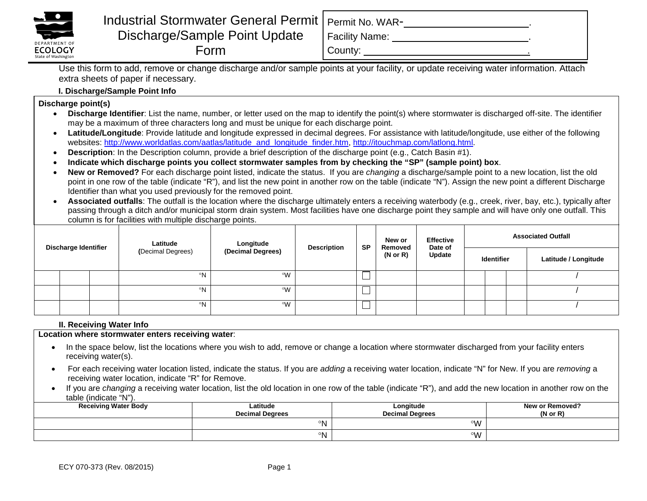

# Industrial Stormwater General Permit Discharge/Sample Point Update Form

Facility Name: .

County: .

Use this form to add, remove or change discharge and/or sample points at your facility, or update receiving water information. Attach extra sheets of paper if necessary.

## **I. Discharge/Sample Point Info**

**Discharge point(s)**

- **Discharge Identifier**: List the name, number, or letter used on the map to identify the point(s) where stormwater is discharged off-site. The identifier may be a maximum of three characters long and must be unique for each discharge point.
- **Latitude/Longitude**: Provide latitude and longitude expressed in decimal degrees. For assistance with latitude/longitude, use either of the following websites: [http://www.worldatlas.com/aatlas/latitude\\_and\\_longitude\\_finder.htm,](http://www.worldatlas.com/aatlas/latitude_and_longitude_finder.htm) [http://itouchmap.com/latlong.html.](http://itouchmap.com/latlong.html)
- **Description**: In the Description column, provide a brief description of the discharge point (e.g., Catch Basin #1).
- **Indicate which discharge points you collect stormwater samples from by checking the "SP" (sample point) box**.
- **New or Removed?** For each discharge point listed, indicate the status. If you are *changing* a discharge/sample point to a new location, list the old point in one row of the table (indicate "R"), and list the new point in another row on the table (indicate "N"). Assign the new point a different Discharge Identifier than what you used previously for the removed point.
- **Associated outfalls**: The outfall is the location where the discharge ultimately enters a receiving waterbody (e.g., creek, river, bay, etc.), typically after passing through a ditch and/or municipal storm drain system. Most facilities have one discharge point they sample and will have only one outfall. This column is for facilities with multiple discharge points.

| <b>Discharge Identifier</b> |  |  | Latitude<br>(Decimal Degrees) | Longitude<br>(Decimal Degrees) | <b>Description</b> | <b>SP</b> | New or<br>Removed<br>$(N \text{ or } R)$ | <b>Effective</b><br>Date of<br><b>Update</b> | <b>Associated Outfall</b> |                   |  |                      |
|-----------------------------|--|--|-------------------------------|--------------------------------|--------------------|-----------|------------------------------------------|----------------------------------------------|---------------------------|-------------------|--|----------------------|
|                             |  |  |                               |                                |                    |           |                                          |                                              |                           | <b>Identifier</b> |  | Latitude / Longitude |
|                             |  |  | °N                            | ∘w                             |                    | ᆸ         |                                          |                                              |                           |                   |  |                      |
|                             |  |  | °N                            | ∘w                             |                    | ى         |                                          |                                              |                           |                   |  |                      |
|                             |  |  | °N                            | ∘w                             |                    | ى         |                                          |                                              |                           |                   |  |                      |

### **II. Receiving Water Info**

**Location where stormwater enters receiving water**:

- In the space below, list the locations where you wish to add, remove or change a location where stormwater discharged from your facility enters receiving water(s).
- For each receiving water location listed, indicate the status. If you are *adding* a receiving water location, indicate "N" for New. If you are *removing* a receiving water location, indicate "R" for Remove.
- If you are *changing* a receiving water location, list the old location in one row of the table (indicate "R"), and add the new location in another row on the table (indicate "N").

| <b>Receiving Water Body</b> | Latitude<br><b>Decimal Degrees</b> | Longitude<br><b>Decimal Degrees</b> | New or Removed?<br>$(N \text{ or } R)$ |
|-----------------------------|------------------------------------|-------------------------------------|----------------------------------------|
|                             | ∘N                                 | $\circ M$                           |                                        |
|                             | ٥N                                 | °W                                  |                                        |